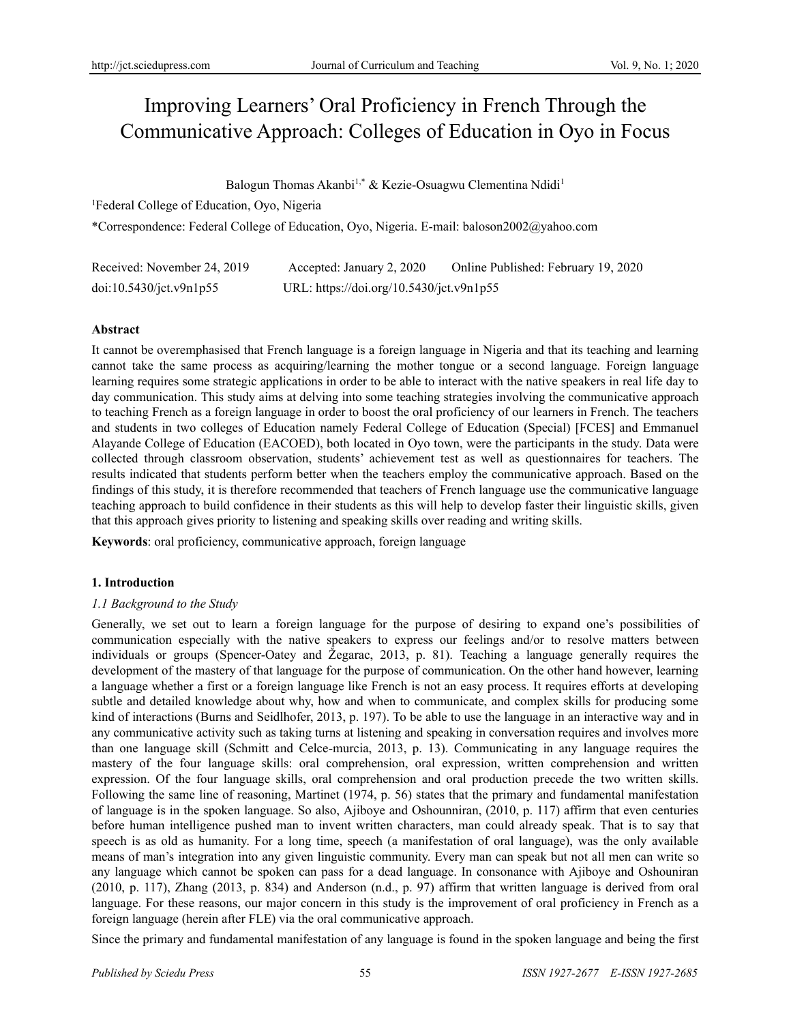# Improving Learners' Oral Proficiency in French Through the Communicative Approach: Colleges of Education in Oyo in Focus

Balogun Thomas Akanbi<sup>1,\*</sup> & Kezie-Osuagwu Clementina Ndidi<sup>1</sup>

<sup>1</sup>Federal College of Education, Oyo, Nigeria

\*Correspondence: Federal College of Education, Oyo, Nigeria. E-mail: baloson2002@yahoo.com

| Received: November 24, 2019 | Accepted: January 2, 2020                | Online Published: February 19, 2020 |
|-----------------------------|------------------------------------------|-------------------------------------|
| doi:10.5430/jct.v9n1p55     | URL: https://doi.org/10.5430/jct.v9n1p55 |                                     |

# **Abstract**

It cannot be overemphasised that French language is a foreign language in Nigeria and that its teaching and learning cannot take the same process as acquiring/learning the mother tongue or a second language. Foreign language learning requires some strategic applications in order to be able to interact with the native speakers in real life day to day communication. This study aims at delving into some teaching strategies involving the communicative approach to teaching French as a foreign language in order to boost the oral proficiency of our learners in French. The teachers and students in two colleges of Education namely Federal College of Education (Special) [FCES] and Emmanuel Alayande College of Education (EACOED), both located in Oyo town, were the participants in the study. Data were collected through classroom observation, students' achievement test as well as questionnaires for teachers. The results indicated that students perform better when the teachers employ the communicative approach. Based on the findings of this study, it is therefore recommended that teachers of French language use the communicative language teaching approach to build confidence in their students as this will help to develop faster their linguistic skills, given that this approach gives priority to listening and speaking skills over reading and writing skills.

**Keywords**: oral proficiency, communicative approach, foreign language

# **1. Introduction**

# *1.1 Background to the Study*

Generally, we set out to learn a foreign language for the purpose of desiring to expand one's possibilities of communication especially with the native speakers to express our feelings and/or to resolve matters between individuals or groups (Spencer-Oatey and Žegarac, 2013, p. 81). Teaching a language generally requires the development of the mastery of that language for the purpose of communication. On the other hand however, learning a language whether a first or a foreign language like French is not an easy process. It requires efforts at developing subtle and detailed knowledge about why, how and when to communicate, and complex skills for producing some kind of interactions (Burns and Seidlhofer, 2013, p. 197). To be able to use the language in an interactive way and in any communicative activity such as taking turns at listening and speaking in conversation requires and involves more than one language skill (Schmitt and Celce-murcia, 2013, p. 13). Communicating in any language requires the mastery of the four language skills: oral comprehension, oral expression, written comprehension and written expression. Of the four language skills, oral comprehension and oral production precede the two written skills. Following the same line of reasoning, Martinet (1974, p. 56) states that the primary and fundamental manifestation of language is in the spoken language. So also, Ajiboye and Oshounniran, (2010, p. 117) affirm that even centuries before human intelligence pushed man to invent written characters, man could already speak. That is to say that speech is as old as humanity. For a long time, speech (a manifestation of oral language), was the only available means of man's integration into any given linguistic community. Every man can speak but not all men can write so any language which cannot be spoken can pass for a dead language. In consonance with Ajiboye and Oshouniran (2010, p. 117), Zhang (2013, p. 834) and Anderson (n.d., p. 97) affirm that written language is derived from oral language. For these reasons, our major concern in this study is the improvement of oral proficiency in French as a foreign language (herein after FLE) via the oral communicative approach.

Since the primary and fundamental manifestation of any language is found in the spoken language and being the first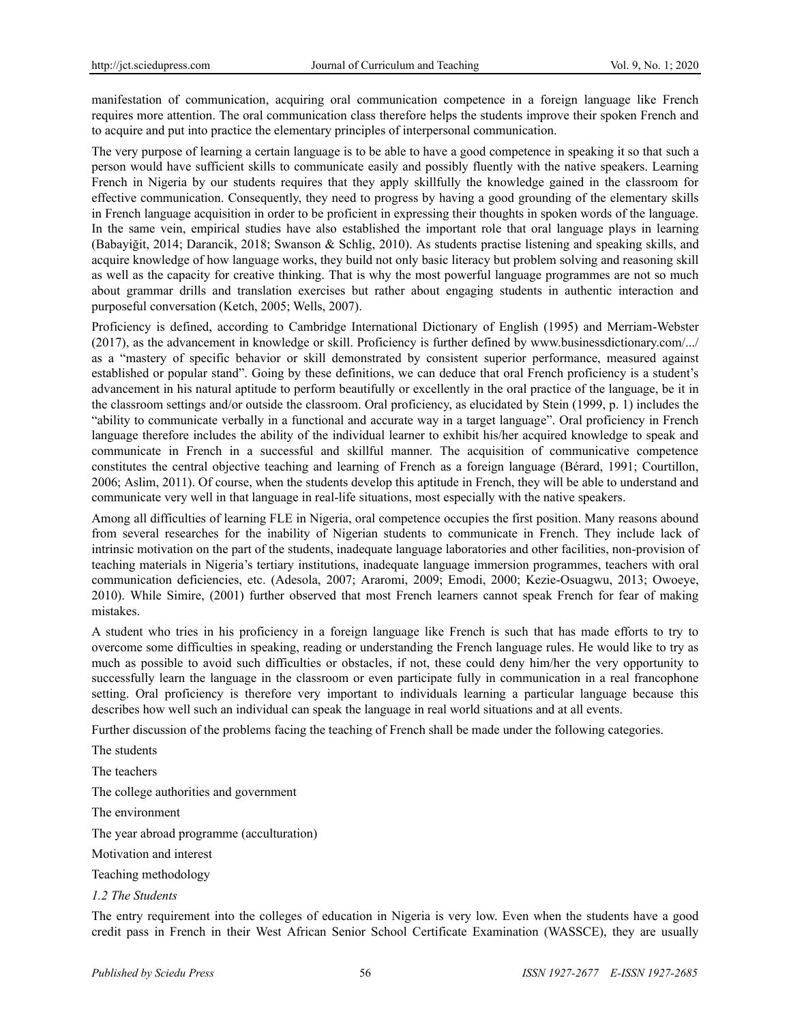manifestation of communication, acquiring oral communication competence in a foreign language like French requires more attention. The oral communication class therefore helps the students improve their spoken French and to acquire and put into practice the elementary principles of interpersonal communication.

The very purpose of learning a certain language is to be able to have a good competence in speaking it so that such a person would have sufficient skills to communicate easily and possibly fluently with the native speakers. Learning French in Nigeria by our students requires that they apply skillfully the knowledge gained in the classroom for effective communication. Consequently, they need to progress by having a good grounding of the elementary skills in French language acquisition in order to be proficient in expressing their thoughts in spoken words of the language. In the same vein, empirical studies have also established the important role that oral language plays in learning (Babayiğit, 2014; Darancik, 2018; Swanson & Schlig, 2010). As students practise listening and speaking skills, and acquire knowledge of how language works, they build not only basic literacy but problem solving and reasoning skill as well as the capacity for creative thinking. That is why the most powerful language programmes are not so much about grammar drills and translation exercises but rather about engaging students in authentic interaction and purposeful conversation (Ketch, 2005; Wells, 2007).

Proficiency is defined, according to Cambridge International Dictionary of English (1995) and Merriam-Webster (2017), as the advancement in knowledge or skill. Proficiency is further defined by www.businessdictionary.com/.../ as a "mastery of specific behavior or skill demonstrated by consistent superior performance, measured against established or popular stand". Going by these definitions, we can deduce that oral French proficiency is a student's advancement in his natural aptitude to perform beautifully or excellently in the oral practice of the language, be it in the classroom settings and/or outside the classroom. Oral proficiency, as elucidated by Stein (1999, p. 1) includes the "ability to communicate verbally in a functional and accurate way in a target language". Oral proficiency in French language therefore includes the ability of the individual learner to exhibit his/her acquired knowledge to speak and communicate in French in a successful and skillful manner. The acquisition of communicative competence constitutes the central objective teaching and learning of French as a foreign language (Bérard, 1991; Courtillon, 2006; Aslim, 2011). Of course, when the students develop this aptitude in French, they will be able to understand and communicate very well in that language in real-life situations, most especially with the native speakers.

Among all difficulties of learning FLE in Nigeria, oral competence occupies the first position. Many reasons abound from several researches for the inability of Nigerian students to communicate in French. They include lack of intrinsic motivation on the part of the students, inadequate language laboratories and other facilities, non-provision of teaching materials in Nigeria's tertiary institutions, inadequate language immersion programmes, teachers with oral communication deficiencies, etc. (Adesola, 2007; Araromi, 2009; Emodi, 2000; Kezie-Osuagwu, 2013; Owoeye, 2010). While Simire, (2001) further observed that most French learners cannot speak French for fear of making mistakes.

A student who tries in his proficiency in a foreign language like French is such that has made efforts to try to overcome some difficulties in speaking, reading or understanding the French language rules. He would like to try as much as possible to avoid such difficulties or obstacles, if not, these could deny him/her the very opportunity to successfully learn the language in the classroom or even participate fully in communication in a real francophone setting. Oral proficiency is therefore very important to individuals learning a particular language because this describes how well such an individual can speak the language in real world situations and at all events.

Further discussion of the problems facing the teaching of French shall be made under the following categories.

The students

The teachers

The college authorities and government

The environment

The year abroad programme (acculturation)

Motivation and interest

Teaching methodology

*1.2 The Students*

The entry requirement into the colleges of education in Nigeria is very low. Even when the students have a good credit pass in French in their West African Senior School Certificate Examination (WASSCE), they are usually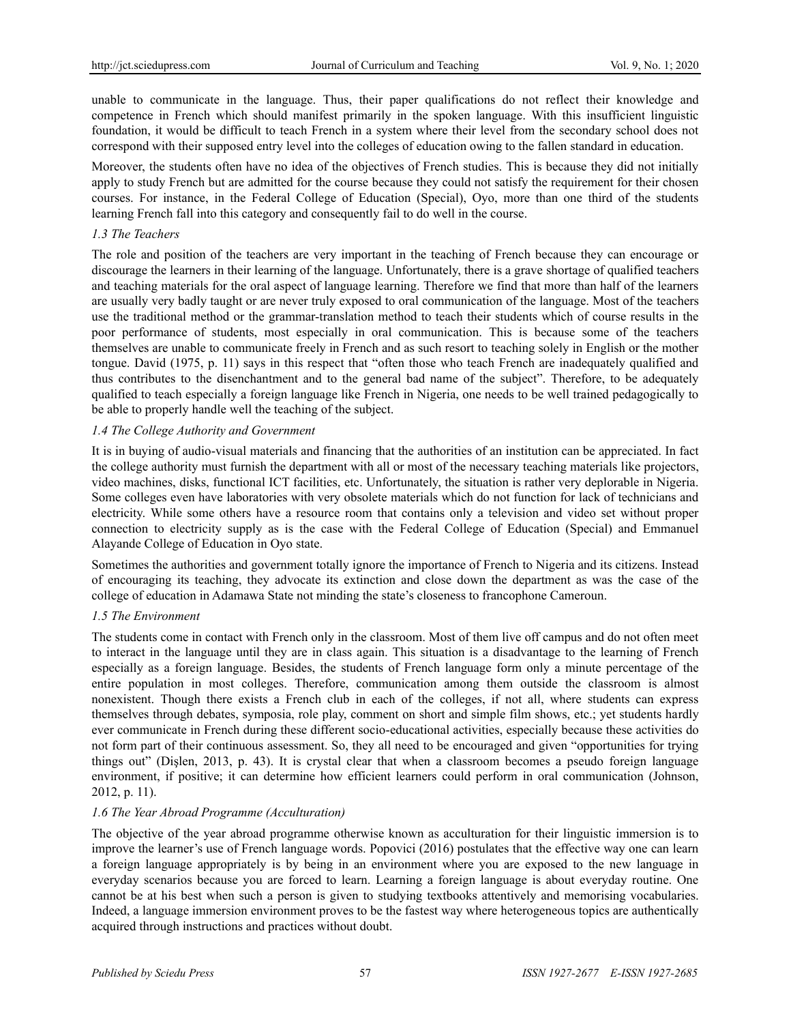unable to communicate in the language. Thus, their paper qualifications do not reflect their knowledge and competence in French which should manifest primarily in the spoken language. With this insufficient linguistic foundation, it would be difficult to teach French in a system where their level from the secondary school does not correspond with their supposed entry level into the colleges of education owing to the fallen standard in education.

Moreover, the students often have no idea of the objectives of French studies. This is because they did not initially apply to study French but are admitted for the course because they could not satisfy the requirement for their chosen courses. For instance, in the Federal College of Education (Special), Oyo, more than one third of the students learning French fall into this category and consequently fail to do well in the course.

# *1.3 The Teachers*

The role and position of the teachers are very important in the teaching of French because they can encourage or discourage the learners in their learning of the language. Unfortunately, there is a grave shortage of qualified teachers and teaching materials for the oral aspect of language learning. Therefore we find that more than half of the learners are usually very badly taught or are never truly exposed to oral communication of the language. Most of the teachers use the traditional method or the grammar-translation method to teach their students which of course results in the poor performance of students, most especially in oral communication. This is because some of the teachers themselves are unable to communicate freely in French and as such resort to teaching solely in English or the mother tongue. David (1975, p. 11) says in this respect that "often those who teach French are inadequately qualified and thus contributes to the disenchantment and to the general bad name of the subject". Therefore, to be adequately qualified to teach especially a foreign language like French in Nigeria, one needs to be well trained pedagogically to be able to properly handle well the teaching of the subject.

# *1.4 The College Authority and Government*

It is in buying of audio-visual materials and financing that the authorities of an institution can be appreciated. In fact the college authority must furnish the department with all or most of the necessary teaching materials like projectors, video machines, disks, functional ICT facilities, etc. Unfortunately, the situation is rather very deplorable in Nigeria. Some colleges even have laboratories with very obsolete materials which do not function for lack of technicians and electricity. While some others have a resource room that contains only a television and video set without proper connection to electricity supply as is the case with the Federal College of Education (Special) and Emmanuel Alayande College of Education in Oyo state.

Sometimes the authorities and government totally ignore the importance of French to Nigeria and its citizens. Instead of encouraging its teaching, they advocate its extinction and close down the department as was the case of the college of education in Adamawa State not minding the state's closeness to francophone Cameroun.

# *1.5 The Environment*

The students come in contact with French only in the classroom. Most of them live off campus and do not often meet to interact in the language until they are in class again. This situation is a disadvantage to the learning of French especially as a foreign language. Besides, the students of French language form only a minute percentage of the entire population in most colleges. Therefore, communication among them outside the classroom is almost nonexistent. Though there exists a French club in each of the colleges, if not all, where students can express themselves through debates, symposia, role play, comment on short and simple film shows, etc.; yet students hardly ever communicate in French during these different socio-educational activities, especially because these activities do not form part of their continuous assessment. So, they all need to be encouraged and given "opportunities for trying things out" (Dişlen, 2013, p. 43). It is crystal clear that when a classroom becomes a pseudo foreign language environment, if positive; it can determine how efficient learners could perform in oral communication (Johnson, 2012, p. 11).

# *1.6 The Year Abroad Programme (Acculturation)*

The objective of the year abroad programme otherwise known as acculturation for their linguistic immersion is to improve the learner's use of French language words. Popovici (2016) postulates that the effective way one can learn a foreign language appropriately is by being in an environment where you are exposed to the new language in everyday scenarios because you are forced to learn. Learning a foreign language is about everyday routine. One cannot be at his best when such a person is given to studying textbooks attentively and memorising vocabularies. Indeed, a language immersion environment proves to be the fastest way where heterogeneous topics are authentically acquired through instructions and practices without doubt.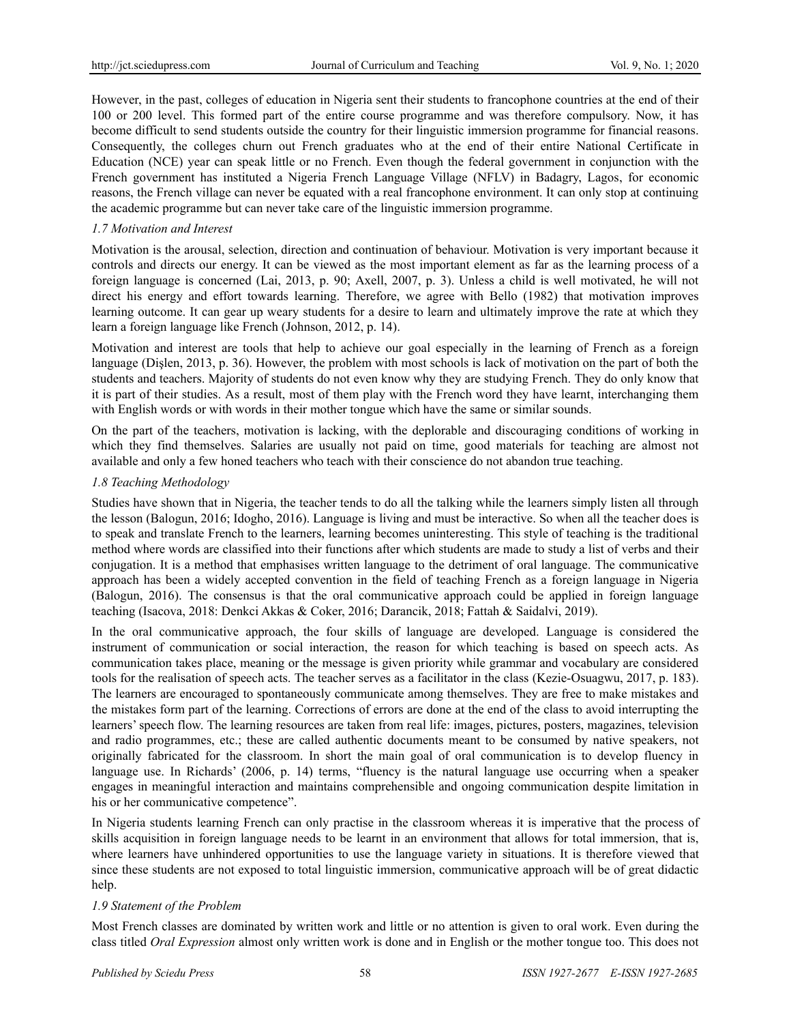However, in the past, colleges of education in Nigeria sent their students to francophone countries at the end of their 100 or 200 level. This formed part of the entire course programme and was therefore compulsory. Now, it has become difficult to send students outside the country for their linguistic immersion programme for financial reasons. Consequently, the colleges churn out French graduates who at the end of their entire National Certificate in Education (NCE) year can speak little or no French. Even though the federal government in conjunction with the French government has instituted a Nigeria French Language Village (NFLV) in Badagry, Lagos, for economic reasons, the French village can never be equated with a real francophone environment. It can only stop at continuing the academic programme but can never take care of the linguistic immersion programme.

# *1.7 Motivation and Interest*

Motivation is the arousal, selection, direction and continuation of behaviour. Motivation is very important because it controls and directs our energy. It can be viewed as the most important element as far as the learning process of a foreign language is concerned (Lai, 2013, p. 90; Axell, 2007, p. 3). Unless a child is well motivated, he will not direct his energy and effort towards learning. Therefore, we agree with Bello (1982) that motivation improves learning outcome. It can gear up weary students for a desire to learn and ultimately improve the rate at which they learn a foreign language like French (Johnson, 2012, p. 14).

Motivation and interest are tools that help to achieve our goal especially in the learning of French as a foreign language (Dişlen, 2013, p. 36). However, the problem with most schools is lack of motivation on the part of both the students and teachers. Majority of students do not even know why they are studying French. They do only know that it is part of their studies. As a result, most of them play with the French word they have learnt, interchanging them with English words or with words in their mother tongue which have the same or similar sounds.

On the part of the teachers, motivation is lacking, with the deplorable and discouraging conditions of working in which they find themselves. Salaries are usually not paid on time, good materials for teaching are almost not available and only a few honed teachers who teach with their conscience do not abandon true teaching.

## *1.8 Teaching Methodology*

Studies have shown that in Nigeria, the teacher tends to do all the talking while the learners simply listen all through the lesson (Balogun, 2016; Idogho, 2016). Language is living and must be interactive. So when all the teacher does is to speak and translate French to the learners, learning becomes uninteresting. This style of teaching is the traditional method where words are classified into their functions after which students are made to study a list of verbs and their conjugation. It is a method that emphasises written language to the detriment of oral language. The communicative approach has been a widely accepted convention in the field of teaching French as a foreign language in Nigeria (Balogun, 2016). The consensus is that the oral communicative approach could be applied in foreign language teaching (Isacova, 2018: Denkci Akkas & Coker, 2016; Darancik, 2018; Fattah & Saidalvi, 2019).

In the oral communicative approach, the four skills of language are developed. Language is considered the instrument of communication or social interaction, the reason for which teaching is based on speech acts. As communication takes place, meaning or the message is given priority while grammar and vocabulary are considered tools for the realisation of speech acts. The teacher serves as a facilitator in the class (Kezie-Osuagwu, 2017, p. 183). The learners are encouraged to spontaneously communicate among themselves. They are free to make mistakes and the mistakes form part of the learning. Corrections of errors are done at the end of the class to avoid interrupting the learners' speech flow. The learning resources are taken from real life: images, pictures, posters, magazines, television and radio programmes, etc.; these are called authentic documents meant to be consumed by native speakers, not originally fabricated for the classroom. In short the main goal of oral communication is to develop fluency in language use. In Richards' (2006, p. 14) terms, "fluency is the natural language use occurring when a speaker engages in meaningful interaction and maintains comprehensible and ongoing communication despite limitation in his or her communicative competence".

In Nigeria students learning French can only practise in the classroom whereas it is imperative that the process of skills acquisition in foreign language needs to be learnt in an environment that allows for total immersion, that is, where learners have unhindered opportunities to use the language variety in situations. It is therefore viewed that since these students are not exposed to total linguistic immersion, communicative approach will be of great didactic help.

#### *1.9 Statement of the Problem*

Most French classes are dominated by written work and little or no attention is given to oral work. Even during the class titled *Oral Expression* almost only written work is done and in English or the mother tongue too. This does not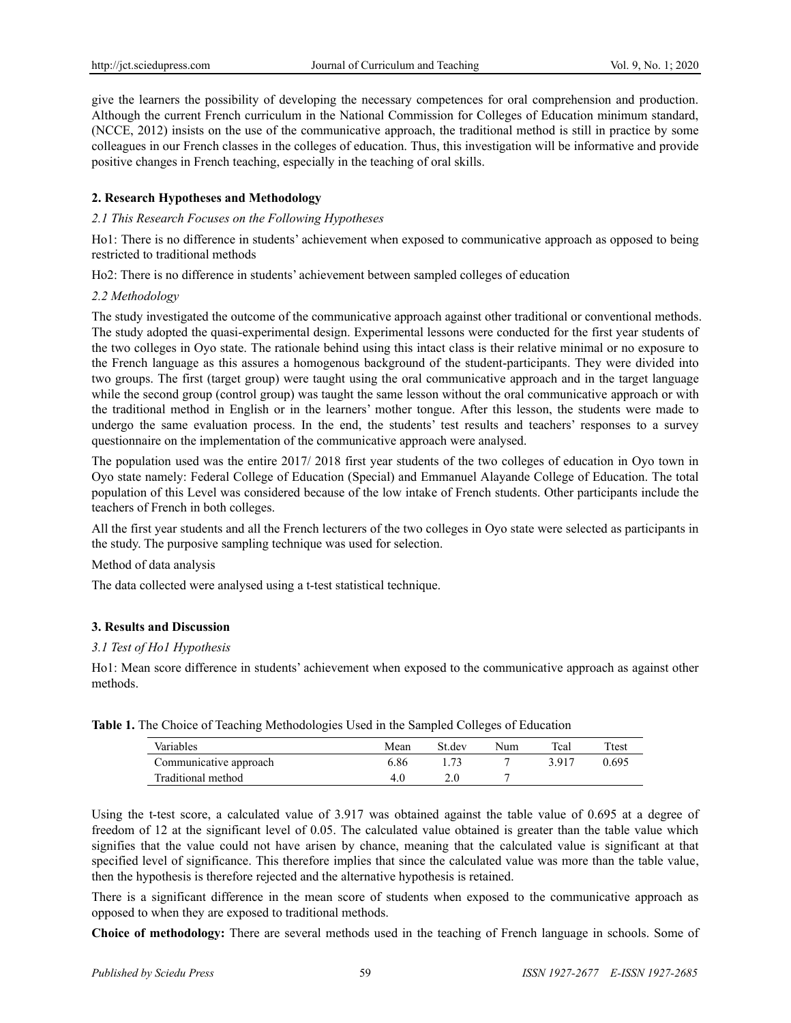give the learners the possibility of developing the necessary competences for oral comprehension and production. Although the current French curriculum in the National Commission for Colleges of Education minimum standard, (NCCE, 2012) insists on the use of the communicative approach, the traditional method is still in practice by some colleagues in our French classes in the colleges of education. Thus, this investigation will be informative and provide positive changes in French teaching, especially in the teaching of oral skills.

# **2. Research Hypotheses and Methodology**

## *2.1 This Research Focuses on the Following Hypotheses*

Ho1: There is no difference in students' achievement when exposed to communicative approach as opposed to being restricted to traditional methods

Ho2: There is no difference in students' achievement between sampled colleges of education

#### *2.2 Methodology*

The study investigated the outcome of the communicative approach against other traditional or conventional methods. The study adopted the quasi-experimental design. Experimental lessons were conducted for the first year students of the two colleges in Oyo state. The rationale behind using this intact class is their relative minimal or no exposure to the French language as this assures a homogenous background of the student-participants. They were divided into two groups. The first (target group) were taught using the oral communicative approach and in the target language while the second group (control group) was taught the same lesson without the oral communicative approach or with the traditional method in English or in the learners' mother tongue. After this lesson, the students were made to undergo the same evaluation process. In the end, the students' test results and teachers' responses to a survey questionnaire on the implementation of the communicative approach were analysed.

The population used was the entire 2017/ 2018 first year students of the two colleges of education in Oyo town in Oyo state namely: Federal College of Education (Special) and Emmanuel Alayande College of Education. The total population of this Level was considered because of the low intake of French students. Other participants include the teachers of French in both colleges.

All the first year students and all the French lecturers of the two colleges in Oyo state were selected as participants in the study. The purposive sampling technique was used for selection.

# Method of data analysis

The data collected were analysed using a t-test statistical technique.

# **3. Results and Discussion**

#### *3.1 Test of Ho1 Hypothesis*

Ho1: Mean score difference in students' achievement when exposed to the communicative approach as against other methods.

| Variables              | Mean | St.dev | Num | $Tcalcal}$ | Ttest |
|------------------------|------|--------|-----|------------|-------|
| Communicative approach | 6.86 |        |     | 3 9 1 7    | 0.695 |
| Traditional method     |      |        |     |            |       |

**Table 1.** The Choice of Teaching Methodologies Used in the Sampled Colleges of Education

Using the t-test score, a calculated value of 3.917 was obtained against the table value of 0.695 at a degree of freedom of 12 at the significant level of 0.05. The calculated value obtained is greater than the table value which signifies that the value could not have arisen by chance, meaning that the calculated value is significant at that specified level of significance. This therefore implies that since the calculated value was more than the table value, then the hypothesis is therefore rejected and the alternative hypothesis is retained.

There is a significant difference in the mean score of students when exposed to the communicative approach as opposed to when they are exposed to traditional methods.

**Choice of methodology:** There are several methods used in the teaching of French language in schools. Some of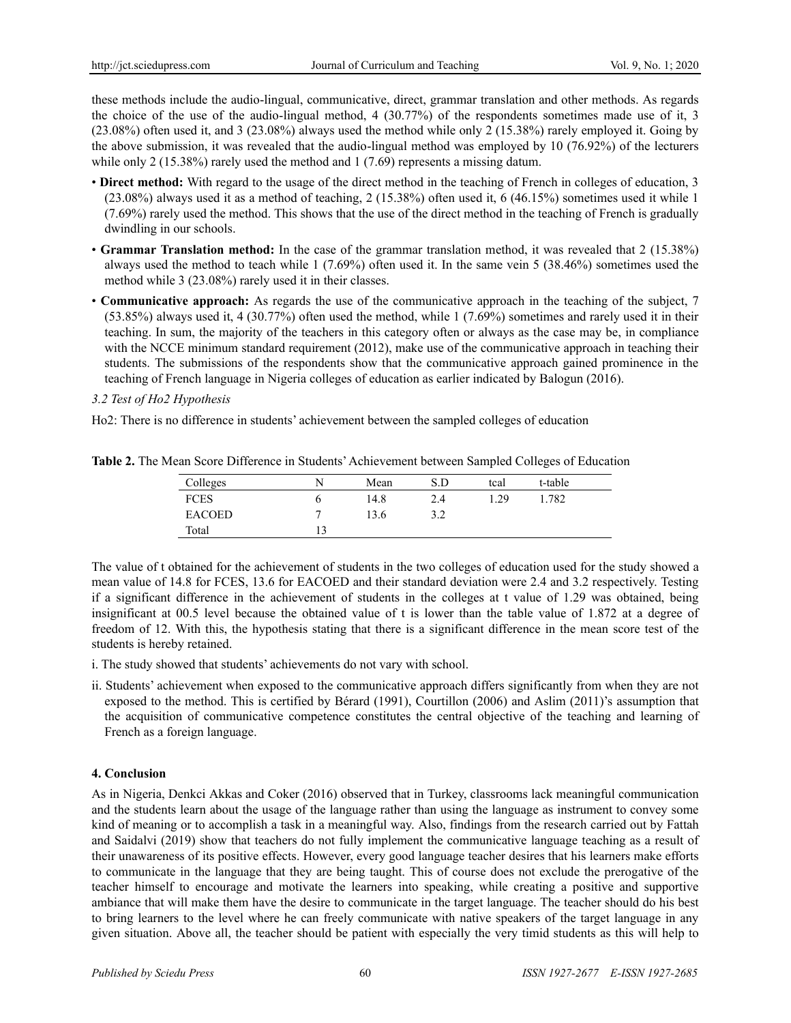these methods include the audio-lingual, communicative, direct, grammar translation and other methods. As regards the choice of the use of the audio-lingual method, 4 (30.77%) of the respondents sometimes made use of it, 3 (23.08%) often used it, and 3 (23.08%) always used the method while only 2 (15.38%) rarely employed it. Going by the above submission, it was revealed that the audio-lingual method was employed by 10 (76.92%) of the lecturers while only 2 (15.38%) rarely used the method and  $1(7.69)$  represents a missing datum.

- **Direct method:** With regard to the usage of the direct method in the teaching of French in colleges of education, 3 (23.08%) always used it as a method of teaching, 2 (15.38%) often used it, 6 (46.15%) sometimes used it while 1 (7.69%) rarely used the method. This shows that the use of the direct method in the teaching of French is gradually dwindling in our schools.
- **Grammar Translation method:** In the case of the grammar translation method, it was revealed that 2 (15.38%) always used the method to teach while 1 (7.69%) often used it. In the same vein 5 (38.46%) sometimes used the method while 3 (23.08%) rarely used it in their classes.
- **Communicative approach:** As regards the use of the communicative approach in the teaching of the subject, 7 (53.85%) always used it, 4 (30.77%) often used the method, while 1 (7.69%) sometimes and rarely used it in their teaching. In sum, the majority of the teachers in this category often or always as the case may be, in compliance with the NCCE minimum standard requirement (2012), make use of the communicative approach in teaching their students. The submissions of the respondents show that the communicative approach gained prominence in the teaching of French language in Nigeria colleges of education as earlier indicated by Balogun (2016).

# *3.2 Test of Ho2 Hypothesis*

Ho2: There is no difference in students' achievement between the sampled colleges of education

| Colleges      |   | Mean | S.D          | tcal | t-table |
|---------------|---|------|--------------|------|---------|
| <b>FCES</b>   | O | 14.8 | 2.4          | 29   | 1.782   |
| <b>EACOED</b> |   | 13.6 | 2 2<br>ے . د |      |         |
| Total         |   |      |              |      |         |

**Table 2.** The Mean Score Difference in Students' Achievement between Sampled Colleges of Education

The value of t obtained for the achievement of students in the two colleges of education used for the study showed a mean value of 14.8 for FCES, 13.6 for EACOED and their standard deviation were 2.4 and 3.2 respectively. Testing if a significant difference in the achievement of students in the colleges at t value of 1.29 was obtained, being insignificant at 00.5 level because the obtained value of t is lower than the table value of 1.872 at a degree of freedom of 12. With this, the hypothesis stating that there is a significant difference in the mean score test of the students is hereby retained.

- i. The study showed that students' achievements do not vary with school.
- ii. Students' achievement when exposed to the communicative approach differs significantly from when they are not exposed to the method. This is certified by Bérard (1991), Courtillon (2006) and Aslim (2011)'s assumption that the acquisition of communicative competence constitutes the central objective of the teaching and learning of French as a foreign language.

# **4. Conclusion**

As in Nigeria, Denkci Akkas and Coker (2016) observed that in Turkey, classrooms lack meaningful communication and the students learn about the usage of the language rather than using the language as instrument to convey some kind of meaning or to accomplish a task in a meaningful way. Also, findings from the research carried out by Fattah and Saidalvi (2019) show that teachers do not fully implement the communicative language teaching as a result of their unawareness of its positive effects. However, every good language teacher desires that his learners make efforts to communicate in the language that they are being taught. This of course does not exclude the prerogative of the teacher himself to encourage and motivate the learners into speaking, while creating a positive and supportive ambiance that will make them have the desire to communicate in the target language. The teacher should do his best to bring learners to the level where he can freely communicate with native speakers of the target language in any given situation. Above all, the teacher should be patient with especially the very timid students as this will help to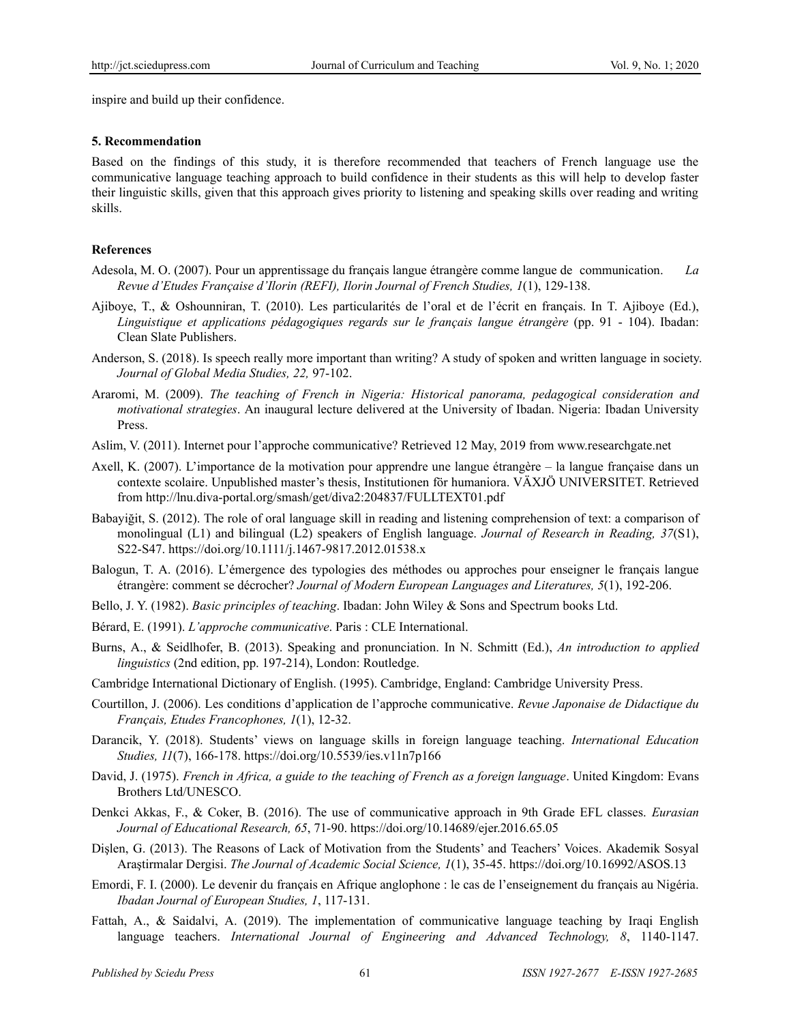inspire and build up their confidence.

#### **5. Recommendation**

Based on the findings of this study, it is therefore recommended that teachers of French language use the communicative language teaching approach to build confidence in their students as this will help to develop faster their linguistic skills, given that this approach gives priority to listening and speaking skills over reading and writing skills.

### **References**

- Adesola, M. O. (2007). Pour un apprentissage du français langue étrangère comme langue de communication. *La Revue d'Etudes Française d'Ilorin (REFI), Ilorin Journal of French Studies, 1*(1), 129-138.
- Ajiboye, T., & Oshounniran, T. (2010). Les particularités de l'oral et de l'écrit en français. In T. Ajiboye (Ed.), *Linguistique et applications pédagogiques regards sur le français langue étrangère* (pp. 91 - 104). Ibadan: Clean Slate Publishers.
- Anderson, S. (2018). Is speech really more important than writing? A study of spoken and written language in society. *Journal of Global Media Studies, 22,* 97-102.
- Araromi, M. (2009). *The teaching of French in Nigeria: Historical panorama, pedagogical consideration and motivational strategies*. An inaugural lecture delivered at the University of Ibadan. Nigeria: Ibadan University Press.
- Aslim, V. (2011). Internet pour l'approche communicative? Retrieved 12 May, 2019 from www.researchgate.net
- Axell, K. (2007). L'importance de la motivation pour apprendre une langue étrangère la langue française dans un contexte scolaire. Unpublished master's thesis, Institutionen för humaniora. VÄXJÖ UNIVERSITET. Retrieved from http://lnu.diva-portal.org/smash/get/diva2:204837/FULLTEXT01.pdf
- Babayiğit, S. (2012). The role of oral language skill in reading and listening comprehension of text: a comparison of monolingual (L1) and bilingual (L2) speakers of English language. *Journal of Research in Reading, 37*(S1), S22-S47. https://doi.org/10.1111/j.1467-9817.2012.01538.x
- Balogun, T. A. (2016). L'émergence des typologies des méthodes ou approches pour enseigner le français langue étrangère: comment se décrocher? *Journal of Modern European Languages and Literatures, 5*(1), 192-206.
- Bello, J. Y. (1982). *Basic principles of teaching*. Ibadan: John Wiley & Sons and Spectrum books Ltd.
- Bérard, E. (1991). *L'approche communicative*. Paris : CLE International.
- Burns, A., & Seidlhofer, B. (2013). Speaking and pronunciation. In N. Schmitt (Ed.), *An introduction to applied linguistics* (2nd edition, pp. 197-214), London: Routledge.
- Cambridge International Dictionary of English. (1995). Cambridge, England: Cambridge University Press.
- Courtillon, J. (2006). Les conditions d'application de l'approche communicative. *Revue Japonaise de Didactique du Français, Etudes Francophones, 1*(1), 12-32.
- Darancik, Y. (2018). Students' views on language skills in foreign language teaching. *International Education Studies, 11*(7), 166-178. https://doi.org/10.5539/ies.v11n7p166
- David, J. (1975). *French in Africa, a guide to the teaching of French as a foreign language*. United Kingdom: Evans Brothers Ltd/UNESCO.
- Denkci Akkas, F., & Coker, B. (2016). The use of communicative approach in 9th Grade EFL classes. *Eurasian Journal of Educational Research, 65*, 71-90. https://doi.org/10.14689/ejer.2016.65.05
- Dişlen, G. (2013). The Reasons of Lack of Motivation from the Students' and Teachers' Voices. Akademik Sosyal Araştirmalar Dergisi. *The Journal of Academic Social Science, 1*(1), 35-45. https://doi.org/10.16992/ASOS.13
- Emordi, F. I. (2000). Le devenir du français en Afrique anglophone : le cas de l'enseignement du français au Nigéria. *Ibadan Journal of European Studies, 1*, 117-131.
- Fattah, A., & Saidalvi, A. (2019). The implementation of communicative language teaching by Iraqi English language teachers. *International Journal of Engineering and Advanced Technology, 8*, 1140-1147.